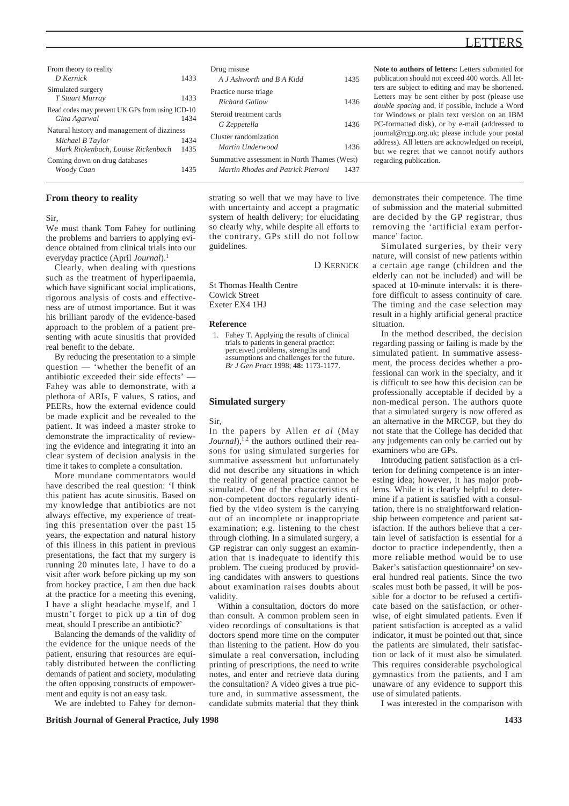# LETTERS

| From theory to reality<br>D Kernick                             | 1433 |  |
|-----------------------------------------------------------------|------|--|
| Simulated surgery<br>T Stuart Murray                            | 1433 |  |
| Read codes may prevent UK GPs from using ICD-10<br>Gina Agarwal | 1434 |  |
| Natural history and management of dizziness                     |      |  |
| Michael B Taylor                                                | 1434 |  |
| Mark Rickenbach, Louise Rickenbach                              | 1435 |  |
| Coming down on drug databases<br>Woody Caan                     | 1435 |  |

# **From theory to reality**

Sir,

We must thank Tom Fahey for outlining the problems and barriers to applying evidence obtained from clinical trials into our everyday practice (April *Journal*).1

Clearly, when dealing with questions such as the treatment of hyperlipaemia, which have significant social implications, rigorous analysis of costs and effectiveness are of utmost importance. But it was his brilliant parody of the evidence-based approach to the problem of a patient presenting with acute sinusitis that provided real benefit to the debate.

By reducing the presentation to a simple question — 'whether the benefit of an antibiotic exceeded their side effects' — Fahey was able to demonstrate, with a plethora of ARIs, F values, S ratios, and PEERs, how the external evidence could be made explicit and be revealed to the patient. It was indeed a master stroke to demonstrate the impracticality of reviewing the evidence and integrating it into an clear system of decision analysis in the time it takes to complete a consultation.

More mundane commentators would have described the real question: 'I think this patient has acute sinusitis. Based on my knowledge that antibiotics are not always effective, my experience of treating this presentation over the past 15 years, the expectation and natural history of this illness in this patient in previous presentations, the fact that my surgery is running 20 minutes late, I have to do a visit after work before picking up my son from hockey practice, I am then due back at the practice for a meeting this evening, I have a slight headache myself, and I mustn't forget to pick up a tin of dog meat, should I prescribe an antibiotic?'

Balancing the demands of the validity of the evidence for the unique needs of the patient, ensuring that resources are equitably distributed between the conflicting demands of patient and society, modulating the often opposing constructs of empowerment and equity is not an easy task.

We are indebted to Fahey for demon-

| Drug misuse<br>A J Ashworth and B A Kidd                                          | 1435 |
|-----------------------------------------------------------------------------------|------|
| Practice nurse triage<br>Richard Gallow                                           | 1436 |
| Steroid treatment cards<br>G Zeppetella                                           | 1436 |
| Cluster randomization<br>Martin Underwood                                         | 1436 |
| Summative assessment in North Thames (West)<br>Martin Rhodes and Patrick Pietroni | 1437 |

strating so well that we may have to live with uncertainty and accept a pragmatic system of health delivery; for elucidating so clearly why, while despite all efforts to the contrary, GPs still do not follow guidelines.

D KERNICK

St Thomas Health Centre Cowick Street Exeter EX4 1HJ

### **Reference**

1. Fahey T. Applying the results of clinical trials to patients in general practice: perceived problems, strengths and assumptions and challenges for the future. *Br J Gen Pract* 1998; **48:** 1173-1177.

### **Simulated surgery**

Sir,

In the papers by Allen *et al* (May *Journal*),<sup>1,2</sup> the authors outlined their reasons for using simulated surgeries for summative assessment but unfortunately did not describe any situations in which the reality of general practice cannot be simulated. One of the characteristics of non-competent doctors regularly identified by the video system is the carrying out of an incomplete or inappropriate examination; e.g. listening to the chest through clothing. In a simulated surgery, a GP registrar can only suggest an examination that is inadequate to identify this problem. The cueing produced by providing candidates with answers to questions about examination raises doubts about validity.

Within a consultation, doctors do more than consult. A common problem seen in video recordings of consultations is that doctors spend more time on the computer than listening to the patient. How do you simulate a real conversation, including printing of prescriptions, the need to write notes, and enter and retrieve data during the consultation? A video gives a true picture and, in summative assessment, the candidate submits material that they think

**Note to authors of letters:** Letters submitted for publication should not exceed 400 words. All letters are subject to editing and may be shortened. Letters may be sent either by post (please use *double spacing* and, if possible, include a Word for Windows or plain text version on an IBM PC-formatted disk), or by e-mail (addressed to journal@rcgp.org.uk; please include your postal address). All letters are acknowledged on receipt, but we regret that we cannot notify authors regarding publication.

demonstrates their competence. The time of submission and the material submitted are decided by the GP registrar, thus removing the 'artificial exam performance' factor.

Simulated surgeries, by their very nature, will consist of new patients within a certain age range (children and the elderly can not be included) and will be spaced at 10-minute intervals: it is therefore difficult to assess continuity of care. The timing and the case selection may result in a highly artificial general practice situation.

In the method described, the decision regarding passing or failing is made by the simulated patient. In summative assessment, the process decides whether a professional can work in the specialty, and it is difficult to see how this decision can be professionally acceptable if decided by a non-medical person. The authors quote that a simulated surgery is now offered as an alternative in the MRCGP, but they do not state that the College has decided that any judgements can only be carried out by examiners who are GPs.

Introducing patient satisfaction as a criterion for defining competence is an interesting idea; however, it has major problems. While it is clearly helpful to determine if a patient is satisfied with a consultation, there is no straightforward relationship between competence and patient satisfaction. If the authors believe that a certain level of satisfaction is essential for a doctor to practice independently, then a more reliable method would be to use Baker's satisfaction questionnaire<sup>3</sup> on several hundred real patients. Since the two scales must both be passed, it will be possible for a doctor to be refused a certificate based on the satisfaction, or otherwise, of eight simulated patients. Even if patient satisfaction is accepted as a valid indicator, it must be pointed out that, since the patients are simulated, their satisfaction or lack of it must also be simulated. This requires considerable psychological gymnastics from the patients, and I am unaware of any evidence to support this use of simulated patients.

I was interested in the comparison with

**British Journal of General Practice, July 1998 1433**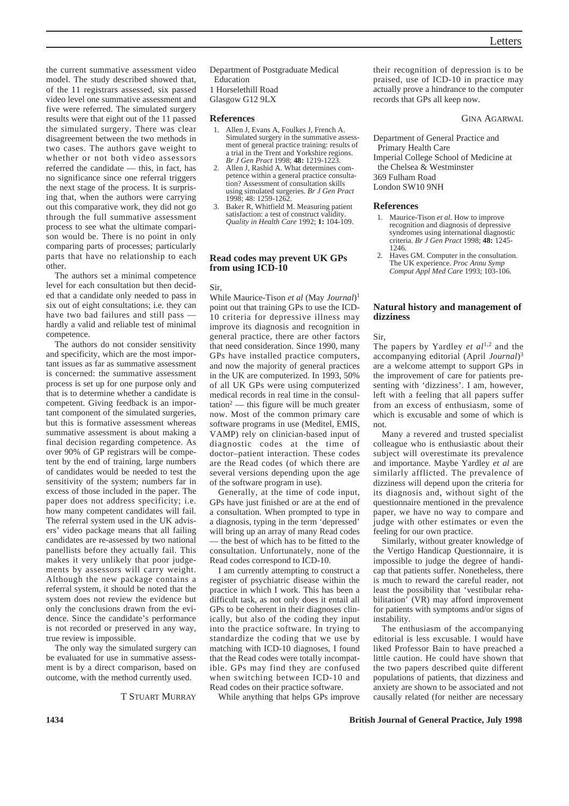the current summative assessment video model. The study described showed that, of the 11 registrars assessed, six passed video level one summative assessment and five were referred. The simulated surgery results were that eight out of the 11 passed the simulated surgery. There was clear disagreement between the two methods in two cases. The authors gave weight to whether or not both video assessors referred the candidate — this, in fact, has no significance since one referral triggers the next stage of the process. It is surprising that, when the authors were carrying out this comparative work, they did not go through the full summative assessment process to see what the ultimate comparison would be. There is no point in only comparing parts of processes; particularly parts that have no relationship to each other.

The authors set a minimal competence level for each consultation but then decided that a candidate only needed to pass in six out of eight consultations; i.e. they can have two bad failures and still pass hardly a valid and reliable test of minimal competence.

The authors do not consider sensitivity and specificity, which are the most important issues as far as summative assessment is concerned: the summative assessment process is set up for one purpose only and that is to determine whether a candidate is competent. Giving feedback is an important component of the simulated surgeries, but this is formative assessment whereas summative assessment is about making a final decision regarding competence. As over 90% of GP registrars will be competent by the end of training, large numbers of candidates would be needed to test the sensitivity of the system; numbers far in excess of those included in the paper. The paper does not address specificity; i.e. how many competent candidates will fail. The referral system used in the UK advisers' video package means that all failing candidates are re-assessed by two national panellists before they actually fail. This makes it very unlikely that poor judgements by assessors will carry weight. Although the new package contains a referral system, it should be noted that the system does not review the evidence but only the conclusions drawn from the evidence. Since the candidate's performance is not recorded or preserved in any way, true review is impossible.

The only way the simulated surgery can be evaluated for use in summative assessment is by a direct comparison, based on outcome, with the method currently used.

# T STUART MURRAY

Department of Postgraduate Medical Education 1 Horselethill Road

Glasgow G12 9LX

# **References**

- 1. Allen J, Evans A, Foulkes J, French A. Simulated surgery in the summative assessment of general practice training: results of a trial in the Trent and Yorkshire regions. *Br J Gen Pract* 1998; **48:** 1219-1223.
- 2. Allen J, Rashid A. What determines competence within a general practice consultation? Assessment of consultation skills using simulated surgeries. *Br J Gen Pract* 1998; 48: 1259-1262.
- 3. Baker R, Whitfield M. Measuring patient satisfaction: a test of construct validity. *Quality in Health Care* 1992; **1:** 104-109.

# **Read codes may prevent UK GPs from using ICD-10**

### Sir,

While Maurice-Tison *et al* (May *Journal*)1 point out that training GPs to use the ICD-10 criteria for depressive illness may improve its diagnosis and recognition in general practice, there are other factors that need consideration. Since 1990, many GPs have installed practice computers, and now the majority of general practices in the UK are computerized. In 1993, 50% of all UK GPs were using computerized medical records in real time in the consul- $\text{tation}^2$  — this figure will be much greater now. Most of the common primary care software programs in use (Meditel, EMIS, VAMP) rely on clinician-based input of diagnostic codes at the time of doctor–patient interaction. These codes are the Read codes (of which there are several versions depending upon the age of the software program in use).

Generally, at the time of code input, GPs have just finished or are at the end of a consultation. When prompted to type in a diagnosis, typing in the term 'depressed' will bring up an array of many Read codes — the best of which has to be fitted to the consultation. Unfortunately, none of the Read codes correspond to ICD-10.

I am currently attempting to construct a register of psychiatric disease within the practice in which I work. This has been a difficult task, as not only does it entail all GPs to be coherent in their diagnoses clinically, but also of the coding they input into the practice software. In trying to standardize the coding that we use by matching with ICD-10 diagnoses, I found that the Read codes were totally incompatible. GPs may find they are confused when switching between ICD-10 and Read codes on their practice software.

While anything that helps GPs improve

their recognition of depression is to be praised, use of ICD-10 in practice may actually prove a hindrance to the computer records that GPs all keep now.

### GINA AGARWAL

Department of General Practice and Primary Health Care Imperial College School of Medicine at the Chelsea & Westminster

369 Fulham Road

London SW10 9NH

### **References**

- 1. Maurice-Tison *et al*. How to improve recognition and diagnosis of depressive syndromes using international diagnostic criteria. *Br J Gen Pract* 1998; **48:** 1245- 1246.
- 2. Haves GM. Computer in the consultation. The UK experience. *Proc Annu Symp Comput Appl Med Care* 1993; 103-106.

# **Natural history and management of dizziness**

Sir,

The papers by Yardley *et al*<sup>1,2</sup> and the accompanying editorial (April *Journal*)3 are a welcome attempt to support GPs in the improvement of care for patients presenting with 'dizziness'. I am, however, left with a feeling that all papers suffer from an excess of enthusiasm, some of which is excusable and some of which is not.

Many a revered and trusted specialist colleague who is enthusiastic about their subject will overestimate its prevalence and importance. Maybe Yardley *et al* are similarly afflicted. The prevalence of dizziness will depend upon the criteria for its diagnosis and, without sight of the questionnaire mentioned in the prevalence paper, we have no way to compare and judge with other estimates or even the feeling for our own practice.

Similarly, without greater knowledge of the Vertigo Handicap Questionnaire, it is impossible to judge the degree of handicap that patients suffer. Nonetheless, there is much to reward the careful reader, not least the possibility that 'vestibular rehabilitation' (VR) may afford improvement for patients with symptoms and/or signs of instability.

The enthusiasm of the accompanying editorial is less excusable. I would have liked Professor Bain to have preached a little caution. He could have shown that the two papers described quite different populations of patients, that dizziness and anxiety are shown to be associated and not causally related (for neither are necessary

**1434 British Journal of General Practice, July 1998**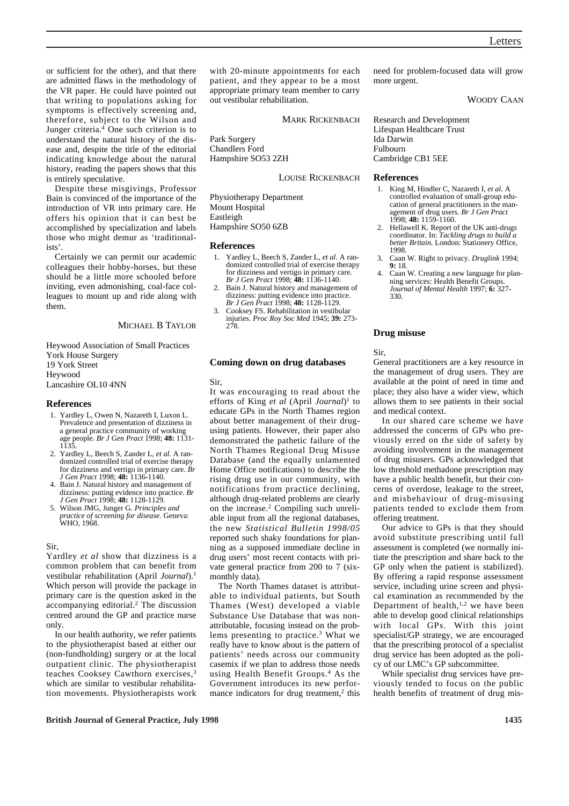or sufficient for the other), and that there are admitted flaws in the methodology of the VR paper. He could have pointed out that writing to populations asking for symptoms is effectively screening and, therefore, subject to the Wilson and Junger criteria.4 One such criterion is to understand the natural history of the disease and, despite the title of the editorial indicating knowledge about the natural history, reading the papers shows that this is entirely speculative.

Despite these misgivings, Professor Bain is convinced of the importance of the introduction of VR into primary care. He offers his opinion that it can best be accomplished by specialization and labels those who might demur as 'traditionalists'.

Certainly we can permit our academic colleagues their hobby-horses, but these should be a little more schooled before inviting, even admonishing, coal-face colleagues to mount up and ride along with them.

### MICHAEL B TAYLOR

Heywood Association of Small Practices York House Surgery 19 York Street Heywood Lancashire OL10 4NN

#### **References**

- 1. Yardley L, Owen N, Nazareth I, Luxon L. Prevalence and presentation of dizziness in a general practice community of working age people. *Br J Gen Pract* 1998; **48:** 1131- 1135.
- 2. Yardley L, Beech S, Zander L, *et al*. A randomized controlled trial of exercise therapy for dizziness and vertigo in primary care. *Br J Gen Pract* 1998; **48:** 1136-1140.
- 4. Bain J. Natural history and management of dizziness: putting evidence into practice. *Br J Gen Pract* 1998; **48:** 1128-1129.
- 5. Wilson JMG, Junger G. *Principles and practice of screening for disease.* Geneva: WHO, 1968.

#### Sir,

Yardley *et al* show that dizziness is a common problem that can benefit from vestibular rehabilitation (April *Journal*).<sup>1</sup> Which person will provide the package in primary care is the question asked in the accompanying editorial.2 The discussion centred around the GP and practice nurse only.

In our health authority, we refer patients to the physiotherapist based at either our (non-fundholding) surgery or at the local outpatient clinic. The physiotherapist teaches Cooksey Cawthorn exercises,3 which are similar to vestibular rehabilitation movements. Physiotherapists work with 20-minute appointments for each patient, and they appear to be a most appropriate primary team member to carry out vestibular rehabilitation.

MARK RICKENBACH

Park Surgery Chandlers Ford Hampshire SO53 2ZH

LOUISE RICKENBACH

Physiotherapy Department Mount Hospital Eastleigh Hampshire SO50 6ZB

#### **References**

- 1. Yardley L, Beech S, Zander L, *et al*. A randomized controlled trial of exercise therapy for dizziness and vertigo in primary care. *Br J Gen Pract* 1998; **48:** 1136-1140.
- Bain J. Natural history and management of dizziness: putting evidence into practice. *Br J Gen Pract* 1998; **48:** 1128-1129.
- 3. Cooksey FS. Rehabilitation in vestibular injuries. *Proc Roy Soc Med* 1945; **39:** 273- 278.

# **Coming down on drug databases**

Sir,

It was encouraging to read about the efforts of King et al (April *Journal*)<sup>1</sup> to educate GPs in the North Thames region about better management of their drugusing patients. However, their paper also demonstrated the pathetic failure of the North Thames Regional Drug Misuse Database (and the equally unlamented Home Office notifications) to describe the rising drug use in our community, with notifications from practice declining, although drug-related problems are clearly on the increase.2 Compiling such unreliable input from all the regional databases, the new *Statistical Bulletin 1998/05* reported such shaky foundations for planning as a supposed immediate decline in drug users' most recent contacts with private general practice from 200 to 7 (sixmonthly data).

The North Thames dataset is attributable to individual patients, but South Thames (West) developed a viable Substance Use Database that was nonattributable, focusing instead on the problems presenting to practice.3 What we really have to know about is the pattern of patients' needs across our community casemix if we plan to address those needs using Health Benefit Groups.4 As the Government introduces its new performance indicators for drug treatment, $2$  this

need for problem-focused data will grow more urgent.

WOODY CAAN

Research and Development Lifespan Healthcare Trust Ida Darwin Fulbourn Cambridge CB1 5EE

#### **References**

- 1. King M, Hindler C, Nazareth I, *et al*. A controlled evaluation of small-group education of general practitioners in the management of drug users. *Br J Gen Pract* 1998; **48:** 1159-1160.
- 2. Hellawell K. Report of the UK anti-drugs coordinator. In: *Tackling drugs to build a better Britain.* London: Stationery Office, 1998.
- 3. Caan W. Right to privacy. *Druglink* 1994; **9:** 18.
- 4. Caan W. Creating a new language for planning services: Health Benefit Groups. *Journal of Mental Health* 1997; **6:** 327- 330.

# **Drug misuse**

Sir,

General practitioners are a key resource in the management of drug users. They are available at the point of need in time and place; they also have a wider view, which allows them to see patients in their social and medical context.

In our shared care scheme we have addressed the concerns of GPs who previously erred on the side of safety by avoiding involvement in the management of drug misusers. GPs acknowledged that low threshold methadone prescription may have a public health benefit, but their concerns of overdose, leakage to the street, and misbehaviour of drug-misusing patients tended to exclude them from offering treatment.

Our advice to GPs is that they should avoid substitute prescribing until full assessment is completed (we normally initiate the prescription and share back to the GP only when the patient is stabilized). By offering a rapid response assessment service, including urine screen and physical examination as recommended by the Department of health, $1,2$  we have been able to develop good clinical relationships with local GPs. With this joint specialist/GP strategy, we are encouraged that the prescribing protocol of a specialist drug service has been adopted as the policy of our LMC's GP subcommittee.

While specialist drug services have previously tended to focus on the public health benefits of treatment of drug mis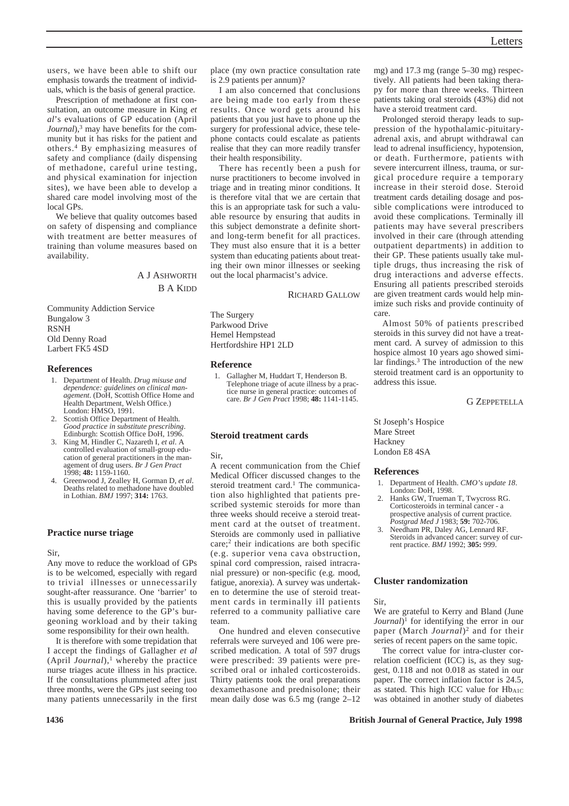users, we have been able to shift our emphasis towards the treatment of individuals, which is the basis of general practice.

Prescription of methadone at first consultation, an outcome measure in King *et al*'s evaluations of GP education (April *Journal*),<sup>3</sup> may have benefits for the community but it has risks for the patient and others.4 By emphasizing measures of safety and compliance (daily dispensing of methadone, careful urine testing, and physical examination for injection sites), we have been able to develop a shared care model involving most of the local GPs.

We believe that quality outcomes based on safety of dispensing and compliance with treatment are better measures of training than volume measures based on availability.

> A J ASHWORTH B A KIDD

Community Addiction Service Bungalow 3 RSNH Old Denny Road Larbert FK5 4SD

### **References**

- 1. Department of Health. *Drug misuse and dependence: guidelines on clinical management*. (DoH, Scottish Office Home and Health Department, Welsh Office.) London: HMSO, 1991.
- Scottish Office Department of Health. *Good practice in substitute prescribing*. Edinburgh: Scottish Office DoH, 1996.
- 3. King M, Hindler C, Nazareth I, *et al*. A controlled evaluation of small-group education of general practitioners in the management of drug users. *Br J Gen Pract* 1998; **48:** 1159-1160.
- 4. Greenwood J, Zealley H, Gorman D, *et al*. Deaths related to methadone have doubled in Lothian. *BMJ* 1997; **314:** 1763.

# **Practice nurse triage**

#### Sir,

Any move to reduce the workload of GPs is to be welcomed, especially with regard to trivial illnesses or unnecessarily sought-after reassurance. One 'barrier' to this is usually provided by the patients having some deference to the GP's burgeoning workload and by their taking some responsibility for their own health.

It is therefore with some trepidation that I accept the findings of Gallagher *et al* (April  $Journal$ ),<sup>1</sup> whereby the practice nurse triages acute illness in his practice. If the consultations plummeted after just three months, were the GPs just seeing too many patients unnecessarily in the first

place (my own practice consultation rate is 2.9 patients per annum)?

I am also concerned that conclusions are being made too early from these results. Once word gets around his patients that you just have to phone up the surgery for professional advice, these telephone contacts could escalate as patients realise that they can more readily transfer their health responsibility.

There has recently been a push for nurse practitioners to become involved in triage and in treating minor conditions. It is therefore vital that we are certain that this is an appropriate task for such a valuable resource by ensuring that audits in this subject demonstrate a definite shortand long-term benefit for all practices. They must also ensure that it is a better system than educating patients about treating their own minor illnesses or seeking out the local pharmacist's advice.

RICHARD GALLOW

The Surgery Parkwood Drive Hemel Hempstead Hertfordshire HP1 2LD

#### **Reference**

1. Gallagher M, Huddart T, Henderson B. Telephone triage of acute illness by a practice nurse in general practice: outcomes of care. *Br J Gen Pract* 1998; **48:** 1141-1145.

# **Steroid treatment cards**

Sir,

A recent communication from the Chief Medical Officer discussed changes to the steroid treatment card.<sup>1</sup> The communication also highlighted that patients prescribed systemic steroids for more than three weeks should receive a steroid treatment card at the outset of treatment. Steroids are commonly used in palliative care;2 their indications are both specific (e.g. superior vena cava obstruction, spinal cord compression, raised intracranial pressure) or non-specific (e.g. mood, fatigue, anorexia). A survey was undertaken to determine the use of steroid treatment cards in terminally ill patients referred to a community palliative care team.

One hundred and eleven consecutive referrals were surveyed and 106 were prescribed medication. A total of 597 drugs were prescribed: 39 patients were prescribed oral or inhaled corticosteroids. Thirty patients took the oral preparations dexamethasone and prednisolone; their mean daily dose was 6.5 mg (range 2–12 mg) and 17.3 mg (range 5–30 mg) respectively. All patients had been taking therapy for more than three weeks. Thirteen patients taking oral steroids (43%) did not have a steroid treatment card.

Prolonged steroid therapy leads to suppression of the hypothalamic-pituitaryadrenal axis, and abrupt withdrawal can lead to adrenal insufficiency, hypotension, or death. Furthermore, patients with severe intercurrent illness, trauma, or surgical procedure require a temporary increase in their steroid dose. Steroid treatment cards detailing dosage and possible complications were introduced to avoid these complications. Terminally ill patients may have several prescribers involved in their care (through attending outpatient departments) in addition to their GP. These patients usually take multiple drugs, thus increasing the risk of drug interactions and adverse effects. Ensuring all patients prescribed steroids are given treatment cards would help minimize such risks and provide continuity of care.

Almost 50% of patients prescribed steroids in this survey did not have a treatment card. A survey of admission to this hospice almost 10 years ago showed similar findings.<sup>3</sup> The introduction of the new steroid treatment card is an opportunity to address this issue.

G ZEPPETELLA

St Joseph's Hospice Mare Street Hackney London E8 4SA

#### **References**

- 1. Department of Health. *CMO's update 18*. London: DoH, 1998.
- 2. Hanks GW, Trueman T, Twycross RG. Corticosteroids in terminal cancer - a prospective analysis of current practice. *Postgrad Med J* 1983; **59:** 702-706.
- 3. Needham PR, Daley AG, Lennard RF. Steroids in advanced cancer: survey of current practice. *BMJ* 1992; **305:** 999.

# **Cluster randomization**

Sir,

We are grateful to Kerry and Bland (June *Journal*)1 for identifying the error in our paper (March *Journal*)<sup>2</sup> and for their series of recent papers on the same topic.

The correct value for intra-cluster correlation coefficient (ICC) is, as they suggest, 0.118 and not 0.018 as stated in our paper. The correct inflation factor is 24.5, as stated. This high ICC value for HbA1C was obtained in another study of diabetes

### **1436 British Journal of General Practice, July 1998**